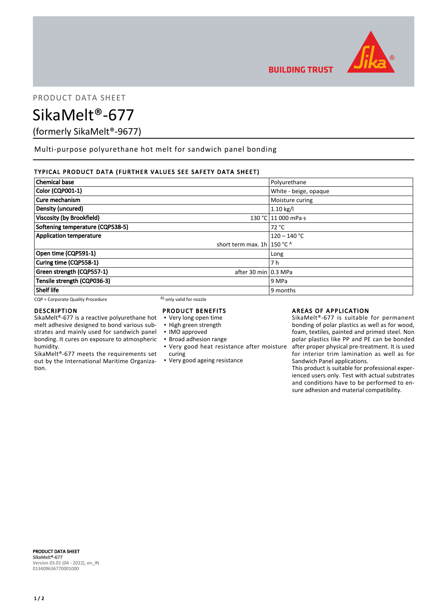

PRODUCT DATA SHEET

SikaMelt®-677

(formerly SikaMelt®-9677)

Multi-purpose polyurethane hot melt for sandwich panel bonding

# TYPICAL PRODUCT DATA (FURTHER VALUES SEE SAFETY DATA SHEET)

| <b>Chemical base</b>              |                                         | Polyurethane          |
|-----------------------------------|-----------------------------------------|-----------------------|
| Color (CQP001-1)                  |                                         | White - beige, opaque |
| Cure mechanism                    |                                         | Moisture curing       |
| Density (uncured)                 |                                         | $1.10$ kg/l           |
| <b>Viscosity (by Brookfield)</b>  |                                         | 130 °C 11 000 mPa.s   |
| Softening temperature (CQP538-5)  |                                         | 72 °C                 |
| <b>Application temperature</b>    |                                         | $120 - 140 °C$        |
|                                   | short term max. 1h   150 $^{\circ}$ C A |                       |
| Open time (CQP591-1)              |                                         | Long                  |
| Curing time (CQP558-1)            |                                         | 7 h                   |
| Green strength (CQP557-1)         | after 30 min 0.3 MPa                    |                       |
| Tensile strength (CQP036-3)       |                                         | 9 MPa                 |
| <b>Shelf life</b>                 |                                         | 9 months              |
| CQP = Corporate Quality Procedure | A) only valid for nozzle                |                       |

## DESCRIPTION

SikaMelt®-677 is a reactive polyurethane hot melt adhesive designed to bond various substrates and mainly used for sandwich panel bonding. It cures on exposure to atmospheric humidity.

SikaMelt®-677 meets the requirements set out by the International Maritime Organization.

## PRODUCT BENEFITS

- Very long open time
- High green strength
- IMO approved
- Broad adhesion range
- Very good heat resistance after moisture curing
- Very good ageing resistance

## AREAS OF APPLICATION

SikaMelt®-677 is suitable for permanent bonding of polar plastics as well as for wood, foam, textiles, painted and primed steel. Non polar plastics like PP and PE can be bonded after proper physical pre-treatment. It is used for interior trim lamination as well as for Sandwich Panel applications.

This product is suitable for professional experienced users only. Test with actual substrates and conditions have to be performed to ensure adhesion and material compatibility.